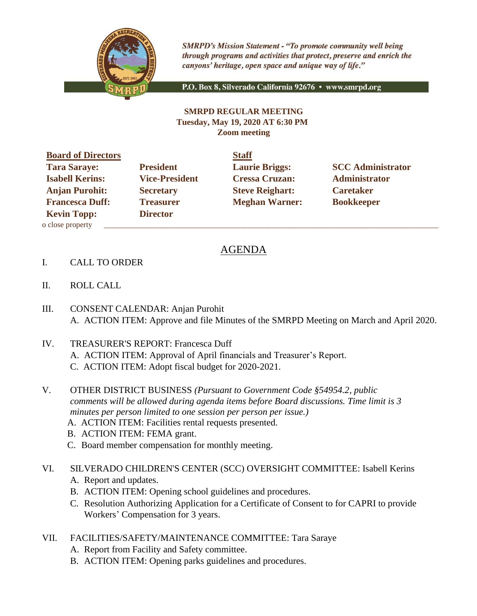

**SMRPD's Mission Statement - "To promote community well being** through programs and activities that protect, preserve and enrich the canyons' heritage, open space and unique way of life."

P.O. Box 8, Silverado California 92676 · www.smrpd.org

## **SMRPD REGULAR MEETING Tuesday, May 19, 2020 AT 6:30 PM Zoom meeting**

**Board of Directors Staff Tara Saraye: President Laurie Briggs: SCC Administrator Isabell Kerins: Vice-President Cressa Cruzan: Administrator Anjan Purohit: Secretary Steve Reighart: Caretaker Francesca Duff:** Treasurer **Meghan Warner:** Bookkeeper **Kevin Topp: Director**  o close property \_\_\_\_\_\_\_\_\_\_\_\_\_\_\_\_\_\_\_\_\_\_\_\_\_\_\_\_\_\_\_\_\_\_\_\_\_\_\_\_\_\_\_\_\_\_\_\_\_\_\_\_\_\_\_\_\_\_\_\_\_\_\_\_\_\_\_\_\_\_\_\_\_\_\_\_\_\_\_\_\_\_\_\_\_\_

## AGENDA

- I. CALL TO ORDER
- II. ROLL CALL
- III. CONSENT CALENDAR: Anjan Purohit A. ACTION ITEM: Approve and file Minutes of the SMRPD Meeting on March and April 2020.
- IV. TREASURER'S REPORT: Francesca Duff A. ACTION ITEM: Approval of April financials and Treasurer's Report. C. ACTION ITEM: Adopt fiscal budget for 2020-2021.
- V. OTHER DISTRICT BUSINESS *(Pursuant to Government Code §54954.2, public comments will be allowed during agenda items before Board discussions. Time limit is 3 minutes per person limited to one session per person per issue.)*
	- A. ACTION ITEM: Facilities rental requests presented.
	- B. ACTION ITEM: FEMA grant.
	- C. Board member compensation for monthly meeting.
- VI. SILVERADO CHILDREN'S CENTER (SCC) OVERSIGHT COMMITTEE: Isabell Kerins
	- A. Report and updates.
	- B. ACTION ITEM: Opening school guidelines and procedures.
	- C. Resolution Authorizing Application for a Certificate of Consent to for CAPRI to provide Workers' Compensation for 3 years.
- VII. FACILITIES/SAFETY/MAINTENANCE COMMITTEE: Tara Saraye
	- A. Report from Facility and Safety committee.
	- B. ACTION ITEM: Opening parks guidelines and procedures.